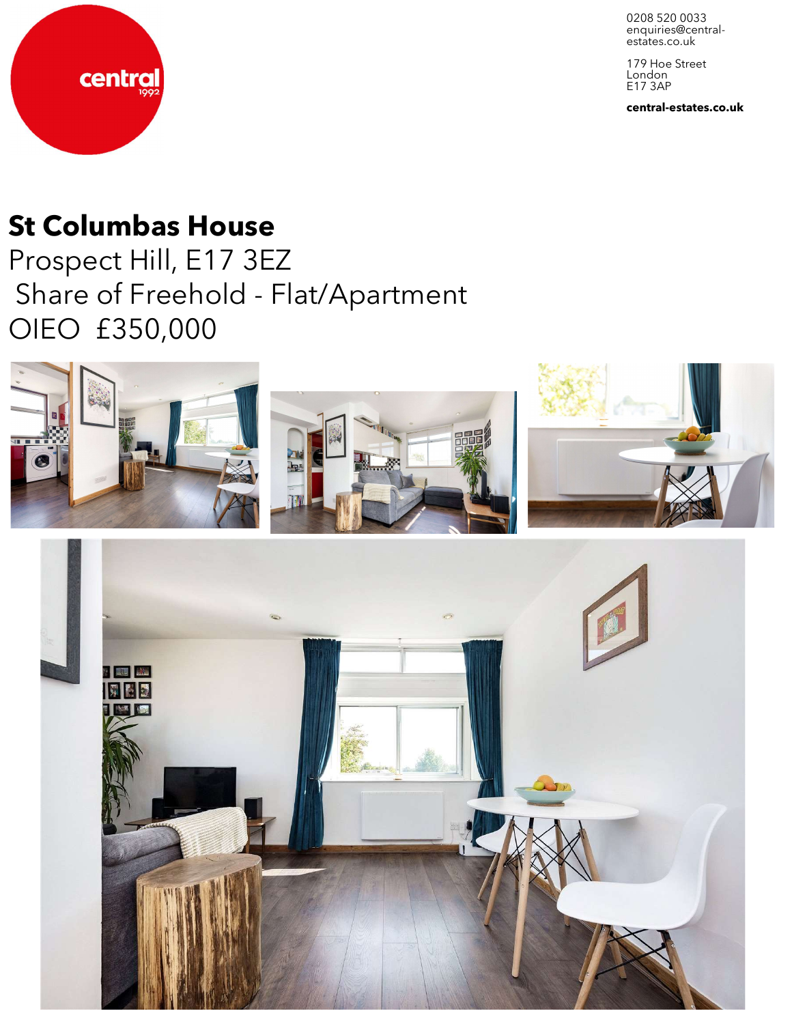0208 520 0033 enquiries@central-<br>estates.co.uk

179 Hoe Street London E17 3AP

**central-estates.co.uk**



# **St Columbas House**

Prospect Hill, E17 3EZ Share of Freehold - Flat/Apartment OIEO £350,000